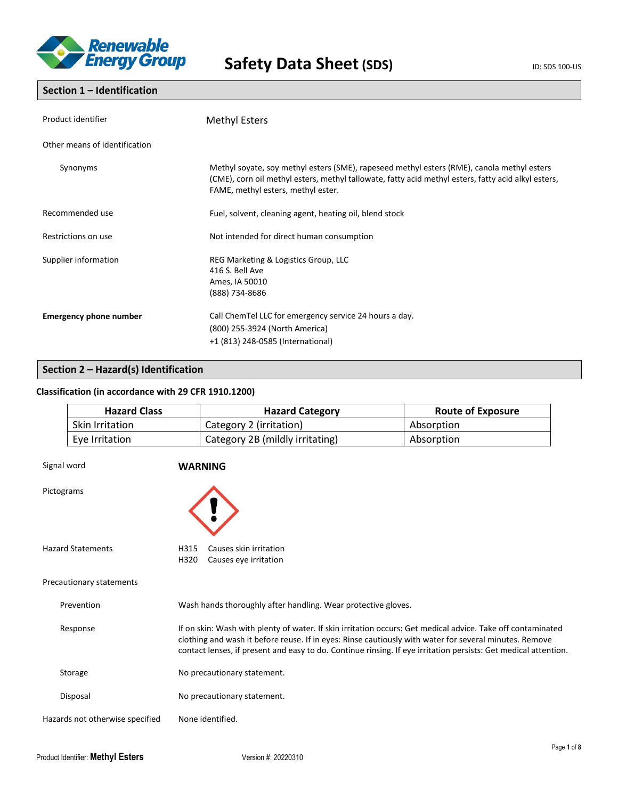

# **Section 1 – Identification**

| Product identifier            | <b>Methyl Esters</b>                                                                                                                                                                                                                    |  |
|-------------------------------|-----------------------------------------------------------------------------------------------------------------------------------------------------------------------------------------------------------------------------------------|--|
| Other means of identification |                                                                                                                                                                                                                                         |  |
| Synonyms                      | Methyl soyate, soy methyl esters (SME), rapeseed methyl esters (RME), canola methyl esters<br>(CME), corn oil methyl esters, methyl tallowate, fatty acid methyl esters, fatty acid alkyl esters,<br>FAME, methyl esters, methyl ester. |  |
| Recommended use               | Fuel, solvent, cleaning agent, heating oil, blend stock                                                                                                                                                                                 |  |
| Restrictions on use           | Not intended for direct human consumption                                                                                                                                                                                               |  |
| Supplier information          | REG Marketing & Logistics Group, LLC<br>416 S. Bell Ave<br>Ames, IA 50010<br>(888) 734-8686                                                                                                                                             |  |
| <b>Emergency phone number</b> | Call ChemTel LLC for emergency service 24 hours a day.<br>(800) 255-3924 (North America)<br>+1 (813) 248-0585 (International)                                                                                                           |  |

## **Section 2 – Hazard(s) Identification**

### **Classification (in accordance with 29 CFR 1910.1200)**

|             | <b>Hazard Class</b> | <b>Hazard Category</b>          | <b>Route of Exposure</b> |
|-------------|---------------------|---------------------------------|--------------------------|
|             | Skin Irritation     | Category 2 (irritation)         | Absorption               |
|             | Eye Irritation      | Category 2B (mildly irritating) | Absorption               |
|             |                     |                                 |                          |
| Signal word |                     | <b>WARNING</b>                  |                          |
| Pictograms  |                     |                                 |                          |

Hazard Statements H315 Causes skin irritation

H320 Causes eye irritation

Precautionary statements

Prevention **Wash hands thoroughly after handling**. Wear protective gloves.

Response **If on skin: Wash with plenty of water.** If skin irritation occurs: Get medical advice. Take off contaminated clothing and wash it before reuse. If in eyes: Rinse cautiously with water for several minutes. Remove contact lenses, if present and easy to do. Continue rinsing. If eye irritation persists: Get medical attention.

Storage Moprecautionary statement.

Disposal No precautionary statement.

Hazards not otherwise specified None identified.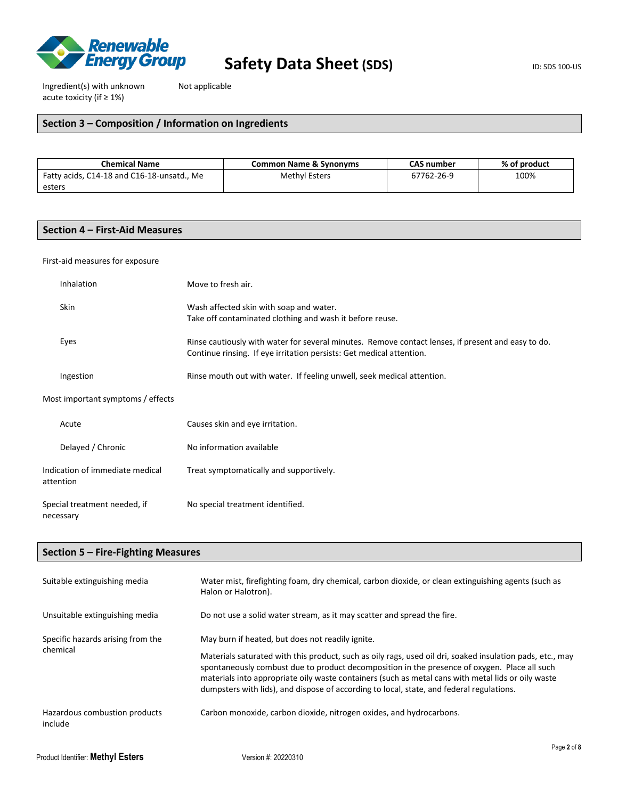

Ingredient(s) with unknown acute toxicity (if ≥ 1%)

Not applicable

### **Section 3 – Composition / Information on Ingredients**

| <b>Chemical Name</b>                       | <b>Common Name &amp; Synonyms</b> | <b>CAS number</b> | % of product |
|--------------------------------------------|-----------------------------------|-------------------|--------------|
| Fatty acids, C14-18 and C16-18-unsatd., Me | Methyl Esters                     | 67762-26-9        | 100%         |
| esters                                     |                                   |                   |              |

# **Section 4 – First-Aid Measures**

### First-aid measures for exposure

| Inhalation                                   | Move to fresh air.                                                                                                                                                         |
|----------------------------------------------|----------------------------------------------------------------------------------------------------------------------------------------------------------------------------|
| <b>Skin</b>                                  | Wash affected skin with soap and water.<br>Take off contaminated clothing and wash it before reuse.                                                                        |
| Eyes                                         | Rinse cautiously with water for several minutes. Remove contact lenses, if present and easy to do.<br>Continue rinsing. If eye irritation persists: Get medical attention. |
| Ingestion                                    | Rinse mouth out with water. If feeling unwell, seek medical attention.                                                                                                     |
| Most important symptoms / effects            |                                                                                                                                                                            |
| Acute                                        | Causes skin and eye irritation.                                                                                                                                            |
| Delayed / Chronic                            | No information available                                                                                                                                                   |
| Indication of immediate medical<br>attention | Treat symptomatically and supportively.                                                                                                                                    |
| Special treatment needed, if<br>necessary    | No special treatment identified.                                                                                                                                           |

# **Section 5 – Fire-Fighting Measures**

| Suitable extinguishing media                  | Water mist, firefighting foam, dry chemical, carbon dioxide, or clean extinguishing agents (such as<br>Halon or Halotron).                                                                                                                                                                                                                                                                                                                                      |  |
|-----------------------------------------------|-----------------------------------------------------------------------------------------------------------------------------------------------------------------------------------------------------------------------------------------------------------------------------------------------------------------------------------------------------------------------------------------------------------------------------------------------------------------|--|
| Unsuitable extinguishing media                | Do not use a solid water stream, as it may scatter and spread the fire.                                                                                                                                                                                                                                                                                                                                                                                         |  |
| Specific hazards arising from the<br>chemical | May burn if heated, but does not readily ignite.<br>Materials saturated with this product, such as oily rags, used oil dri, soaked insulation pads, etc., may<br>spontaneously combust due to product decomposition in the presence of oxygen. Place all such<br>materials into appropriate oily waste containers (such as metal cans with metal lids or oily waste<br>dumpsters with lids), and dispose of according to local, state, and federal regulations. |  |
| Hazardous combustion products<br>include      | Carbon monoxide, carbon dioxide, nitrogen oxides, and hydrocarbons.                                                                                                                                                                                                                                                                                                                                                                                             |  |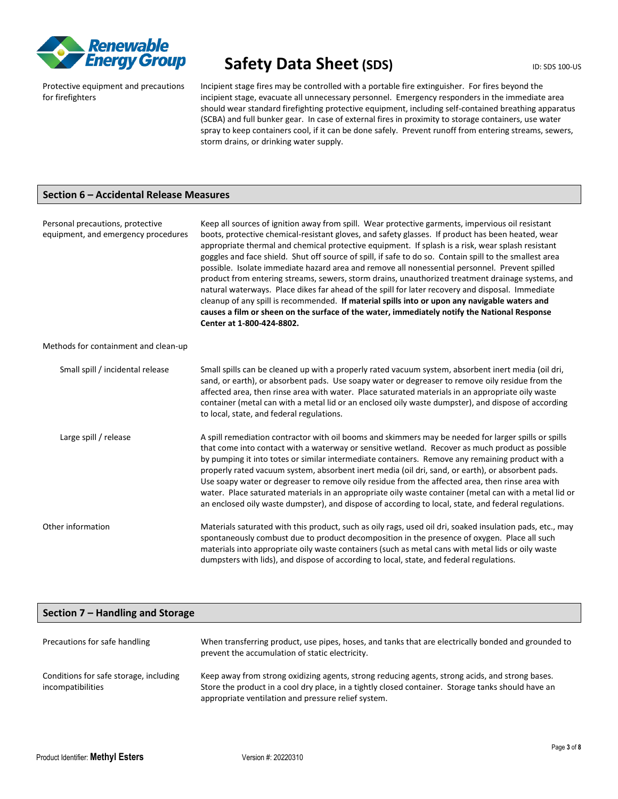

# **Safety Data Sheet (SDS)** ID: SDS 100-US

Protective equipment and precautions for firefighters

Incipient stage fires may be controlled with a portable fire extinguisher. For fires beyond the incipient stage, evacuate all unnecessary personnel. Emergency responders in the immediate area should wear standard firefighting protective equipment, including self-contained breathing apparatus (SCBA) and full bunker gear. In case of external fires in proximity to storage containers, use water spray to keep containers cool, if it can be done safely. Prevent runoff from entering streams, sewers, storm drains, or drinking water supply.

### **Section 6 – Accidental Release Measures**

| Personal precautions, protective<br>equipment, and emergency procedures | Keep all sources of ignition away from spill. Wear protective garments, impervious oil resistant<br>boots, protective chemical-resistant gloves, and safety glasses. If product has been heated, wear<br>appropriate thermal and chemical protective equipment. If splash is a risk, wear splash resistant<br>goggles and face shield. Shut off source of spill, if safe to do so. Contain spill to the smallest area<br>possible. Isolate immediate hazard area and remove all nonessential personnel. Prevent spilled<br>product from entering streams, sewers, storm drains, unauthorized treatment drainage systems, and<br>natural waterways. Place dikes far ahead of the spill for later recovery and disposal. Immediate<br>cleanup of any spill is recommended. If material spills into or upon any navigable waters and<br>causes a film or sheen on the surface of the water, immediately notify the National Response<br>Center at 1-800-424-8802. |
|-------------------------------------------------------------------------|----------------------------------------------------------------------------------------------------------------------------------------------------------------------------------------------------------------------------------------------------------------------------------------------------------------------------------------------------------------------------------------------------------------------------------------------------------------------------------------------------------------------------------------------------------------------------------------------------------------------------------------------------------------------------------------------------------------------------------------------------------------------------------------------------------------------------------------------------------------------------------------------------------------------------------------------------------------|
| Methods for containment and clean-up                                    |                                                                                                                                                                                                                                                                                                                                                                                                                                                                                                                                                                                                                                                                                                                                                                                                                                                                                                                                                                |
| Small spill / incidental release                                        | Small spills can be cleaned up with a properly rated vacuum system, absorbent inert media (oil dri,<br>sand, or earth), or absorbent pads. Use soapy water or degreaser to remove oily residue from the<br>affected area, then rinse area with water. Place saturated materials in an appropriate oily waste<br>container (metal can with a metal lid or an enclosed oily waste dumpster), and dispose of according<br>to local, state, and federal regulations.                                                                                                                                                                                                                                                                                                                                                                                                                                                                                               |
| Large spill / release                                                   | A spill remediation contractor with oil booms and skimmers may be needed for larger spills or spills<br>that come into contact with a waterway or sensitive wetland. Recover as much product as possible<br>by pumping it into totes or similar intermediate containers. Remove any remaining product with a<br>properly rated vacuum system, absorbent inert media (oil dri, sand, or earth), or absorbent pads.<br>Use soapy water or degreaser to remove oily residue from the affected area, then rinse area with<br>water. Place saturated materials in an appropriate oily waste container (metal can with a metal lid or<br>an enclosed oily waste dumpster), and dispose of according to local, state, and federal regulations.                                                                                                                                                                                                                        |
| Other information                                                       | Materials saturated with this product, such as oily rags, used oil dri, soaked insulation pads, etc., may<br>spontaneously combust due to product decomposition in the presence of oxygen. Place all such<br>materials into appropriate oily waste containers (such as metal cans with metal lids or oily waste<br>dumpsters with lids), and dispose of according to local, state, and federal regulations.                                                                                                                                                                                                                                                                                                                                                                                                                                                                                                                                                    |

### **Section 7 – Handling and Storage**

| Precautions for safe handling                               | When transferring product, use pipes, hoses, and tanks that are electrically bonded and grounded to<br>prevent the accumulation of static electricity.                                                                                                       |
|-------------------------------------------------------------|--------------------------------------------------------------------------------------------------------------------------------------------------------------------------------------------------------------------------------------------------------------|
| Conditions for safe storage, including<br>incompatibilities | Keep away from strong oxidizing agents, strong reducing agents, strong acids, and strong bases.<br>Store the product in a cool dry place, in a tightly closed container. Storage tanks should have an<br>appropriate ventilation and pressure relief system. |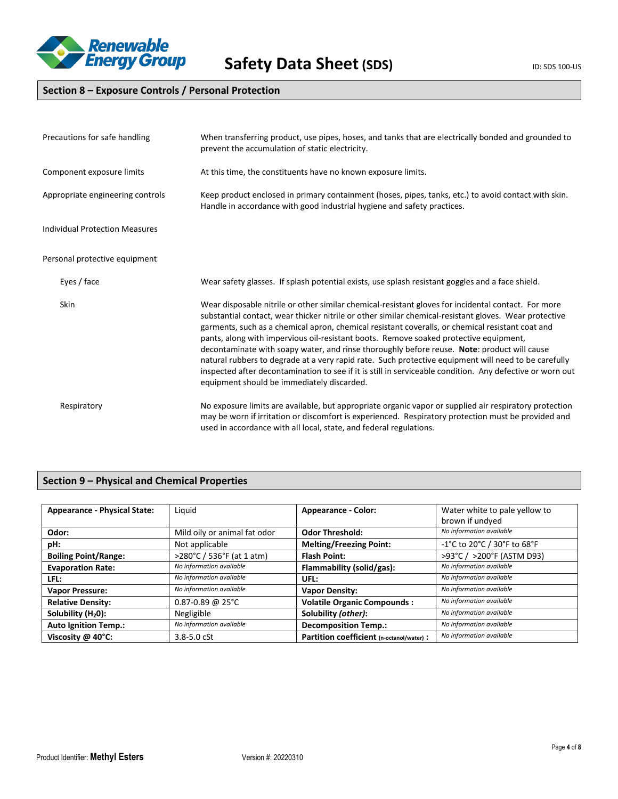

# **Section 8 – Exposure Controls / Personal Protection**

| Precautions for safe handling         | When transferring product, use pipes, hoses, and tanks that are electrically bonded and grounded to<br>prevent the accumulation of static electricity.                                                                                                                                                                                                                                                                                                                                                                                                                                                                                                                                                                                                                      |  |
|---------------------------------------|-----------------------------------------------------------------------------------------------------------------------------------------------------------------------------------------------------------------------------------------------------------------------------------------------------------------------------------------------------------------------------------------------------------------------------------------------------------------------------------------------------------------------------------------------------------------------------------------------------------------------------------------------------------------------------------------------------------------------------------------------------------------------------|--|
| Component exposure limits             | At this time, the constituents have no known exposure limits.                                                                                                                                                                                                                                                                                                                                                                                                                                                                                                                                                                                                                                                                                                               |  |
| Appropriate engineering controls      | Keep product enclosed in primary containment (hoses, pipes, tanks, etc.) to avoid contact with skin.<br>Handle in accordance with good industrial hygiene and safety practices.                                                                                                                                                                                                                                                                                                                                                                                                                                                                                                                                                                                             |  |
| <b>Individual Protection Measures</b> |                                                                                                                                                                                                                                                                                                                                                                                                                                                                                                                                                                                                                                                                                                                                                                             |  |
| Personal protective equipment         |                                                                                                                                                                                                                                                                                                                                                                                                                                                                                                                                                                                                                                                                                                                                                                             |  |
| Eyes / face                           | Wear safety glasses. If splash potential exists, use splash resistant goggles and a face shield.                                                                                                                                                                                                                                                                                                                                                                                                                                                                                                                                                                                                                                                                            |  |
| <b>Skin</b>                           | Wear disposable nitrile or other similar chemical-resistant gloves for incidental contact. For more<br>substantial contact, wear thicker nitrile or other similar chemical-resistant gloves. Wear protective<br>garments, such as a chemical apron, chemical resistant coveralls, or chemical resistant coat and<br>pants, along with impervious oil-resistant boots. Remove soaked protective equipment,<br>decontaminate with soapy water, and rinse thoroughly before reuse. Note: product will cause<br>natural rubbers to degrade at a very rapid rate. Such protective equipment will need to be carefully<br>inspected after decontamination to see if it is still in serviceable condition. Any defective or worn out<br>equipment should be immediately discarded. |  |
| Respiratory                           | No exposure limits are available, but appropriate organic vapor or supplied air respiratory protection<br>may be worn if irritation or discomfort is experienced. Respiratory protection must be provided and<br>used in accordance with all local, state, and federal regulations.                                                                                                                                                                                                                                                                                                                                                                                                                                                                                         |  |

# **Section 9 – Physical and Chemical Properties**

| <b>Appearance - Physical State:</b> | Liquid                       | <b>Appearance - Color:</b>               | Water white to pale yellow to<br>brown if undyed |
|-------------------------------------|------------------------------|------------------------------------------|--------------------------------------------------|
| Odor:                               | Mild oily or animal fat odor | <b>Odor Threshold:</b>                   | No information available                         |
| pH:                                 | Not applicable               | <b>Melting/Freezing Point:</b>           | -1°C to 20°C / 30°F to 68°F                      |
| <b>Boiling Point/Range:</b>         | >280°C / 536°F (at 1 atm)    | <b>Flash Point:</b>                      | >93°C / >200°F (ASTM D93)                        |
| <b>Evaporation Rate:</b>            | No information available     | Flammability (solid/gas):                | No information available                         |
| LFL:                                | No information available     | UFL:                                     | No information available                         |
| <b>Vapor Pressure:</b>              | No information available     | <b>Vapor Density:</b>                    | No information available                         |
| <b>Relative Density:</b>            | $0.87 - 0.89$ @ 25°C         | <b>Volatile Organic Compounds:</b>       | No information available                         |
| Solubility $(H20)$ :                | Negligible                   | Solubility (other):                      | No information available                         |
| <b>Auto Ignition Temp.:</b>         | No information available     | <b>Decomposition Temp.:</b>              | No information available                         |
| Viscosity @ 40°C:                   | $3.8 - 5.0$ cSt              | Partition coefficient (n-octanol/water): | No information available                         |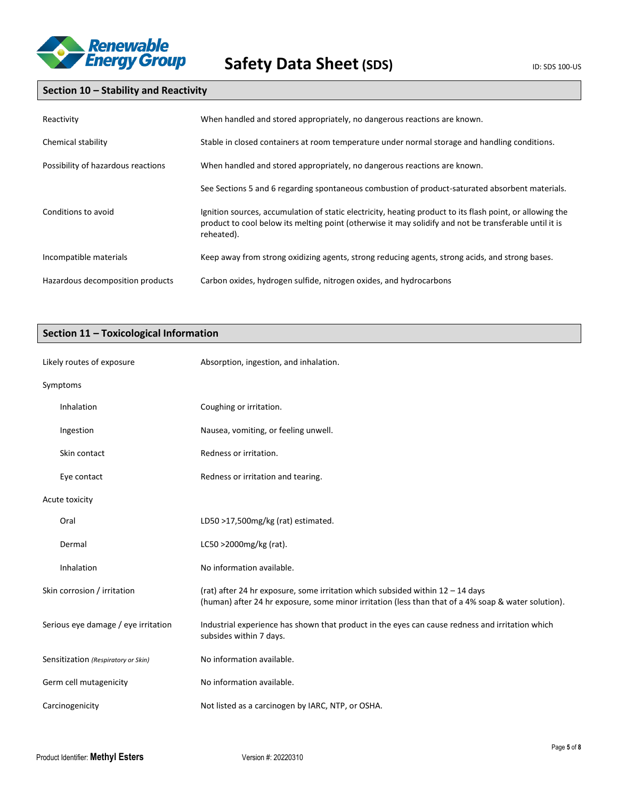

# **Section 10 – Stability and Reactivity**

| Reactivity                         | When handled and stored appropriately, no dangerous reactions are known.                                                                                                                                                          |  |
|------------------------------------|-----------------------------------------------------------------------------------------------------------------------------------------------------------------------------------------------------------------------------------|--|
| Chemical stability                 | Stable in closed containers at room temperature under normal storage and handling conditions.                                                                                                                                     |  |
| Possibility of hazardous reactions | When handled and stored appropriately, no dangerous reactions are known.                                                                                                                                                          |  |
|                                    | See Sections 5 and 6 regarding spontaneous combustion of product-saturated absorbent materials.                                                                                                                                   |  |
| Conditions to avoid                | Ignition sources, accumulation of static electricity, heating product to its flash point, or allowing the<br>product to cool below its melting point (otherwise it may solidify and not be transferable until it is<br>reheated). |  |
| Incompatible materials             | Keep away from strong oxidizing agents, strong reducing agents, strong acids, and strong bases.                                                                                                                                   |  |
| Hazardous decomposition products   | Carbon oxides, hydrogen sulfide, nitrogen oxides, and hydrocarbons                                                                                                                                                                |  |

# **Section 11 – Toxicological Information**

| Likely routes of exposure           | Absorption, ingestion, and inhalation.                                                                                                                                                  |  |
|-------------------------------------|-----------------------------------------------------------------------------------------------------------------------------------------------------------------------------------------|--|
| Symptoms                            |                                                                                                                                                                                         |  |
| Inhalation                          | Coughing or irritation.                                                                                                                                                                 |  |
| Ingestion                           | Nausea, vomiting, or feeling unwell.                                                                                                                                                    |  |
| Skin contact                        | Redness or irritation.                                                                                                                                                                  |  |
| Eye contact                         | Redness or irritation and tearing.                                                                                                                                                      |  |
| Acute toxicity                      |                                                                                                                                                                                         |  |
| Oral                                | LD50 >17,500mg/kg (rat) estimated.                                                                                                                                                      |  |
| Dermal                              | LC50 >2000mg/kg (rat).                                                                                                                                                                  |  |
| Inhalation                          | No information available.                                                                                                                                                               |  |
| Skin corrosion / irritation         | (rat) after 24 hr exposure, some irritation which subsided within $12 - 14$ days<br>(human) after 24 hr exposure, some minor irritation (less than that of a 4% soap & water solution). |  |
| Serious eye damage / eye irritation | Industrial experience has shown that product in the eyes can cause redness and irritation which<br>subsides within 7 days.                                                              |  |
| Sensitization (Respiratory or Skin) | No information available.                                                                                                                                                               |  |
| Germ cell mutagenicity              | No information available.                                                                                                                                                               |  |
| Carcinogenicity                     | Not listed as a carcinogen by IARC, NTP, or OSHA.                                                                                                                                       |  |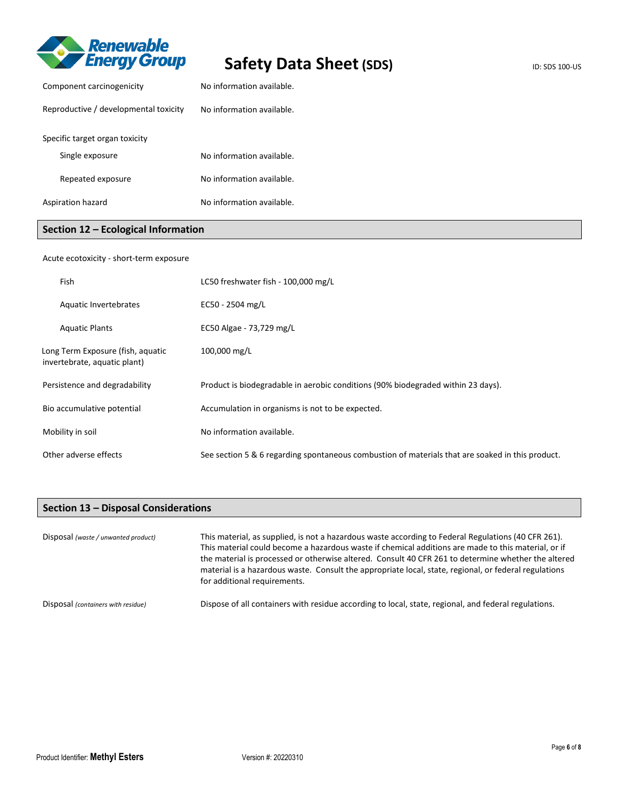

# Safety Data Sheet (SDS) **ID: SDS 100-US**

| Component carcinogenicity             | No information available. |
|---------------------------------------|---------------------------|
| Reproductive / developmental toxicity | No information available. |
| Specific target organ toxicity        |                           |
| Single exposure                       | No information available. |
| Repeated exposure                     | No information available. |
| Aspiration hazard                     | No information available. |

# **Section 12 – Ecological Information**

# Acute ecotoxicity - short-term exposure

| Fish                                                              | LC50 freshwater fish - 100,000 mg/L                                                              |
|-------------------------------------------------------------------|--------------------------------------------------------------------------------------------------|
| Aquatic Invertebrates                                             | EC50 - 2504 mg/L                                                                                 |
| <b>Aquatic Plants</b>                                             | EC50 Algae - 73,729 mg/L                                                                         |
| Long Term Exposure (fish, aquatic<br>invertebrate, aquatic plant) | 100,000 mg/L                                                                                     |
| Persistence and degradability                                     | Product is biodegradable in aerobic conditions (90% biodegraded within 23 days).                 |
| Bio accumulative potential                                        | Accumulation in organisms is not to be expected.                                                 |
| Mobility in soil                                                  | No information available.                                                                        |
| Other adverse effects                                             | See section 5 & 6 regarding spontaneous combustion of materials that are soaked in this product. |

# **Section 13 – Disposal Considerations**

| Disposal (waste / unwanted product) | This material, as supplied, is not a hazardous waste according to Federal Regulations (40 CFR 261).<br>This material could become a hazardous waste if chemical additions are made to this material, or if<br>the material is processed or otherwise altered. Consult 40 CFR 261 to determine whether the altered<br>material is a hazardous waste. Consult the appropriate local, state, regional, or federal regulations<br>for additional requirements. |
|-------------------------------------|------------------------------------------------------------------------------------------------------------------------------------------------------------------------------------------------------------------------------------------------------------------------------------------------------------------------------------------------------------------------------------------------------------------------------------------------------------|
| Disposal (containers with residue)  | Dispose of all containers with residue according to local, state, regional, and federal regulations.                                                                                                                                                                                                                                                                                                                                                       |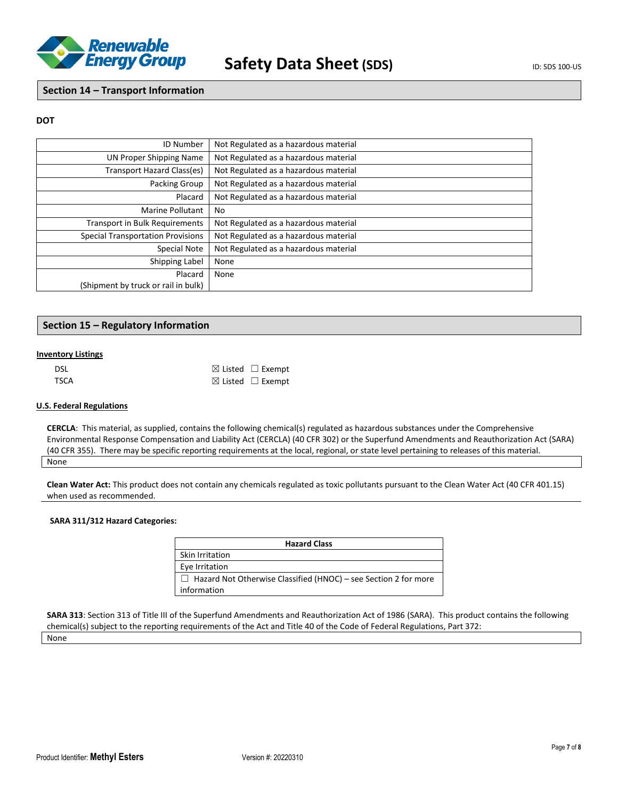

# **Section 14 – Transport Information**

### **DOT**

| <b>ID Number</b>                         | Not Regulated as a hazardous material |
|------------------------------------------|---------------------------------------|
| <b>UN Proper Shipping Name</b>           | Not Regulated as a hazardous material |
| Transport Hazard Class(es)               | Not Regulated as a hazardous material |
| Packing Group                            | Not Regulated as a hazardous material |
| Placard                                  | Not Regulated as a hazardous material |
| Marine Pollutant                         | No                                    |
| <b>Transport in Bulk Requirements</b>    | Not Regulated as a hazardous material |
| <b>Special Transportation Provisions</b> | Not Regulated as a hazardous material |
| Special Note                             | Not Regulated as a hazardous material |
| Shipping Label                           | None                                  |
| Placard                                  | None                                  |
| (Shipment by truck or rail in bulk)      |                                       |

### **Section 15 – Regulatory Information**

### **Inventory Listings**

| dsl  | $\boxtimes$ Listed $\Box$ Exempt |
|------|----------------------------------|
| TSCA | $\boxtimes$ Listed $\Box$ Exempt |

### **U.S. Federal Regulations**

**CERCLA**: This material, as supplied, contains the following chemical(s) regulated as hazardous substances under the Comprehensive Environmental Response Compensation and Liability Act (CERCLA) (40 CFR 302) or the Superfund Amendments and Reauthorization Act (SARA) (40 CFR 355). There may be specific reporting requirements at the local, regional, or state level pertaining to releases of this material. None

**Clean Water Act:** This product does not contain any chemicals regulated as toxic pollutants pursuant to the Clean Water Act (40 CFR 401.15) when used as recommended.

### **SARA 311/312 Hazard Categories:**

| <b>Hazard Class</b>                                                    |
|------------------------------------------------------------------------|
| Skin Irritation                                                        |
| Eye Irritation                                                         |
| $\Box$ Hazard Not Otherwise Classified (HNOC) – see Section 2 for more |
| information                                                            |

**SARA 313**: Section 313 of Title III of the Superfund Amendments and Reauthorization Act of 1986 (SARA). This product contains the following chemical(s) subject to the reporting requirements of the Act and Title 40 of the Code of Federal Regulations, Part 372: None